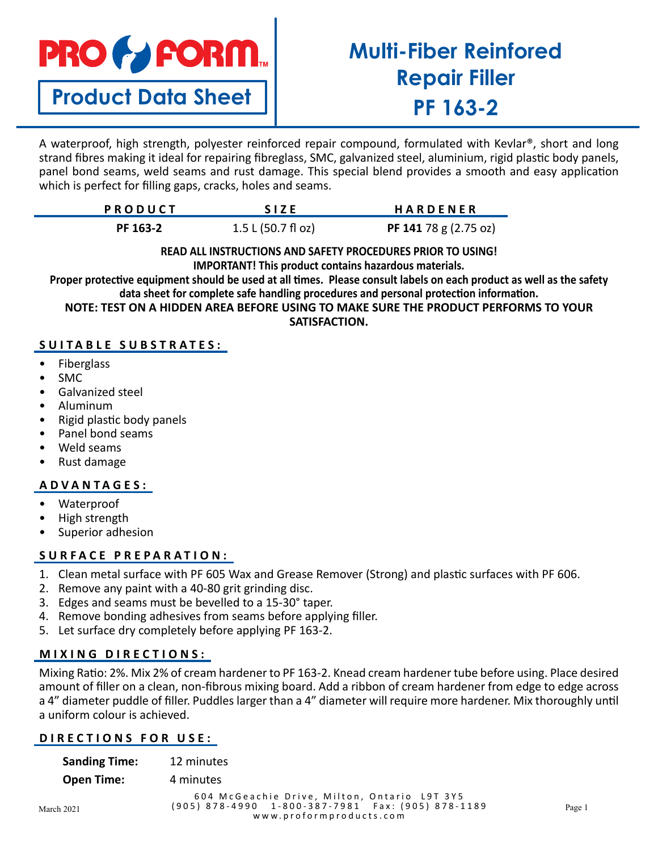

**Product Data Sheet**

# **Multi-Fiber Reinfored Repair Filler PF 163-2**

A waterproof, high strength, polyester reinforced repair compound, formulated with Kevlar®, short and long strand fibres making it ideal for repairing fibreglass, SMC, galvanized steel, aluminium, rigid plastic body panels, panel bond seams, weld seams and rust damage. This special blend provides a smooth and easy application which is perfect for filling gaps, cracks, holes and seams.

| <b>PRODUCT</b> | <b>SIZE</b>        | <b>HARDENER</b>       |
|----------------|--------------------|-----------------------|
| PF 163-2       | 1.5 L (50.7 f1 oz) | PF 141 78 g (2.75 oz) |

## **READ ALL INSTRUCTIONS AND SAFETY PROCEDURES PRIOR TO USING!**

**IMPORTANT! This product contains hazardous materials.**

**Proper protective equipment should be used at all times. Please consult labels on each product as well as the safety data sheet for complete safe handling procedures and personal protection information.**

**NOTE: TEST ON A HIDDEN AREA BEFORE USING TO MAKE SURE THE PRODUCT PERFORMS TO YOUR SATISFACTION.**

## **SUITABLE SUBSTRATES:**

- Fiberglass
- SMC
- Galvanized steel
- Aluminum
- Rigid plastic body panels
- Panel bond seams
- Weld seams
- Rust damage

## **ADVANTAGES:**

- Waterproof
- High strength
- Superior adhesion

## **SURFACE PREPARATION:**

- 1. Clean metal surface with PF 605 Wax and Grease Remover (Strong) and plastic surfaces with PF 606.
- 2. Remove any paint with a 40-80 grit grinding disc.
- 3. Edges and seams must be bevelled to a 15-30° taper.
- 4. Remove bonding adhesives from seams before applying filler.
- 5. Let surface dry completely before applying PF 163-2.

## **MIXING DIRECTIONS:**

Mixing Ratio: 2%. Mix 2% of cream hardener to PF 163-2. Knead cream hardener tube before using. Place desired amount of filler on a clean, non-fibrous mixing board. Add a ribbon of cream hardener from edge to edge across a 4" diameter puddle of filler. Puddles larger than a 4" diameter will require more hardener. Mix thoroughly until a uniform colour is achieved.

## **DIRECTIONS FOR USE:**

| <b>Sanding Time:</b> | 12 minutes                                                                                                                                                                                                                                                                     |
|----------------------|--------------------------------------------------------------------------------------------------------------------------------------------------------------------------------------------------------------------------------------------------------------------------------|
| <b>Open Time:</b>    | 4 minutes                                                                                                                                                                                                                                                                      |
|                      | 604 McGeachie Drive, Milton, Ontario L9T 3Y5<br>$(0.05)$ $0.70$ $0.000$ $0.000$ $0.07$ $0.004$ $0.000$ $0.000$ $0.000$ $0.000$ $0.000$ $0.000$ $0.000$ $0.000$ $0.000$ $0.000$ $0.000$ $0.000$ $0.000$ $0.000$ $0.000$ $0.000$ $0.000$ $0.000$ $0.000$ $0.000$ $0.000$ $0.000$ |